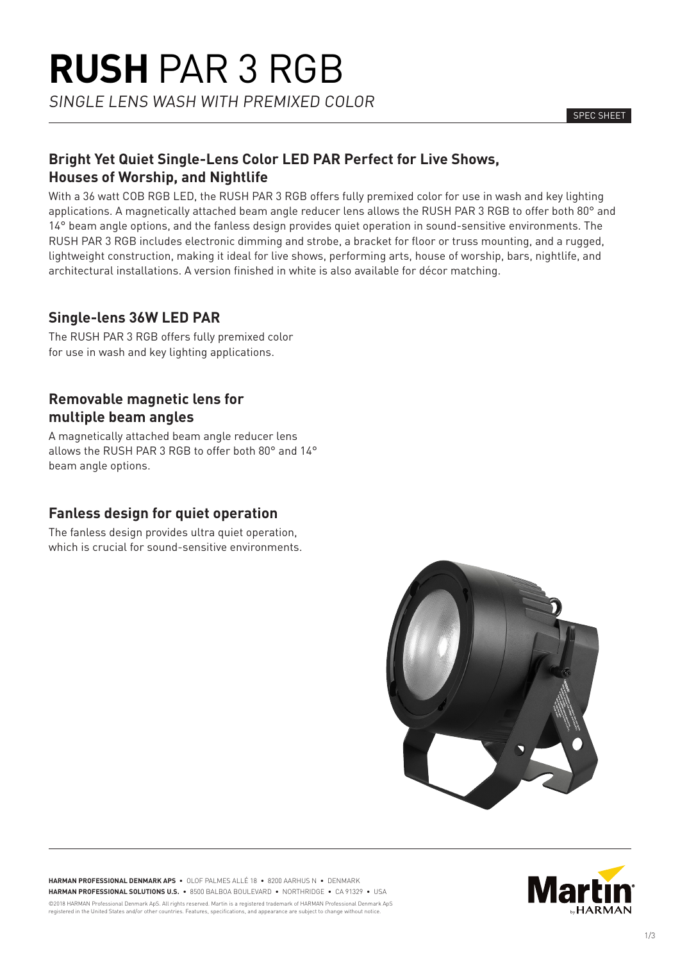# **Bright Yet Quiet Single-Lens Color LED PAR Perfect for Live Shows, Houses of Worship, and Nightlife**

With a 36 watt COB RGB LED, the RUSH PAR 3 RGB offers fully premixed color for use in wash and key lighting applications. A magnetically attached beam angle reducer lens allows the RUSH PAR 3 RGB to offer both 80° and 14° beam angle options, and the fanless design provides quiet operation in sound-sensitive environments. The RUSH PAR 3 RGB includes electronic dimming and strobe, a bracket for floor or truss mounting, and a rugged, lightweight construction, making it ideal for live shows, performing arts, house of worship, bars, nightlife, and architectural installations. A version finished in white is also available for décor matching.

# **Single-lens 36W LED PAR**

The RUSH PAR 3 RGB offers fully premixed color for use in wash and key lighting applications.

# **Removable magnetic lens for multiple beam angles**

A magnetically attached beam angle reducer lens allows the RUSH PAR 3 RGB to offer both 80° and 14° beam angle options.

# **Fanless design for quiet operation**

The fanless design provides ultra quiet operation, which is crucial for sound-sensitive environments.



**HARMAN PROFESSIONAL DENMARK APS** • OLOF PALMES ALLÉ 18 • 8200 AARHUS N • DENMARK **HARMAN PROFESSIONAL SOLUTIONS U.S.** • 8500 BALBOA BOULEVARD • NORTHRIDGE • CA 91329 • USA ©2018 HARMAN Professional Denmark ApS. All rights reserved. Martin is a registered trademark of HARMAN Professional Denmark ApS registered in the United States and/or other countries. Features, specifications, and appearance are subject to change without notice.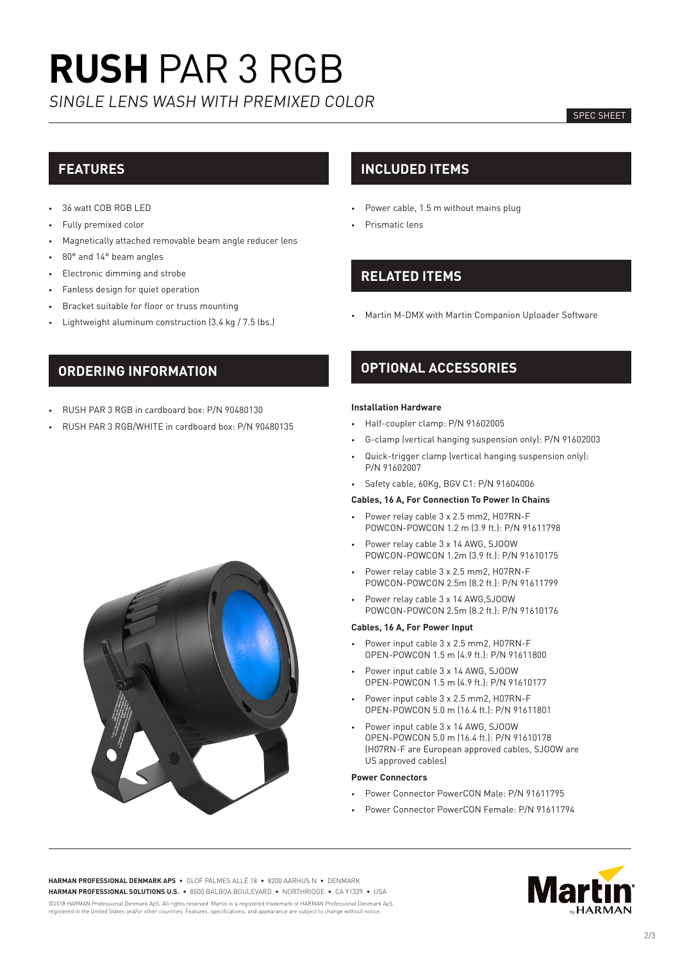# **RUSH** PAR 3 RGB SINGLE LENS WASH WITH PREMIXED COLOR

### SPEC SHEET

# **FEATURES**

- 36 watt COB RGB LED
- Fully premixed color
- Magnetically attached removable beam angle reducer lens
- 80° and 14° beam angles
- Electronic dimming and strobe
- Fanless design for quiet operation
- Bracket suitable for floor or truss mounting
- Lightweight aluminum construction (3.4 kg / 7.5 lbs.)

### **INCLUDED ITEMS**

- Power cable, 1.5 m without mains plug
- Prismatic lens

# **RELATED ITEMS**

• Martin M-DMX with Martin Companion Uploader Software

## **ORDERING INFORMATION**

- RUSH PAR 3 RGB in cardboard box: P/N 90480130
- RUSH PAR 3 RGB/WHITE in cardboard box: P/N 90480135

# **OPTIONAL ACCESSORIES**

### **Installation Hardware**

- Half-coupler clamp: P/N 91602005
- G-clamp (vertical hanging suspension only): P/N 91602003
- Quick-trigger clamp (vertical hanging suspension only): P/N 91602007
- Safety cable, 60Kg, BGV C1: P/N 91604006

### **Cables, 16 A, For Connection To Power In Chains**

- Power relay cable 3 x 2.5 mm2, H07RN-F POWCON-POWCON 1.2 m (3.9 ft.): P/N 91611798
- Power relay cable 3 x 14 AWG, SJOOW POWCON-POWCON 1.2m (3.9 ft.): P/N 91610175
- Power relay cable 3 x 2.5 mm2, H07RN-F POWCON-POWCON 2.5m (8.2 ft.): P/N 91611799
- Power relay cable 3 x 14 AWG,SJOOW POWCON-POWCON 2.5m (8.2 ft.): P/N 91610176

### **Cables, 16 A, For Power Input**

- Power input cable 3 x 2.5 mm2, H07RN-F OPEN-POWCON 1.5 m (4.9 ft.): P/N 91611800
- Power input cable 3 x 14 AWG, SJOOW OPEN-POWCON 1.5 m (4.9 ft.): P/N 91610177
- Power input cable 3 x 2.5 mm2, H07RN-F OPEN-POWCON 5.0 m (16.4 ft.): P/N 91611801
- Power input cable 3 x 14 AWG, SJOOW OPEN-POWCON 5.0 m (16.4 ft.): P/N 91610178 (H07RN-F are European approved cables, SJOOW are US approved cables)

### **Power Connectors**

- Power Connector PowerCON Male: P/N 91611795
- Power Connector PowerCON Female: P/N 91611794





**HARMAN PROFESSIONAL DENMARK APS** • OLOF PALMES ALLÉ 18 • 8200 AARHUS N • DENMARK **HARMAN PROFESSIONAL SOLUTIONS U.S.** • 8500 BALBOA BOULEVARD • NORTHRIDGE • CA 91329 • USA ©2018 HARMAN Professional Denmark ApS. All rights reserved. Martin is a registered trademark of HARMAN Professional Denmark ApS<br>registered in the United States and/or other countries. Features, specifications, and appearan